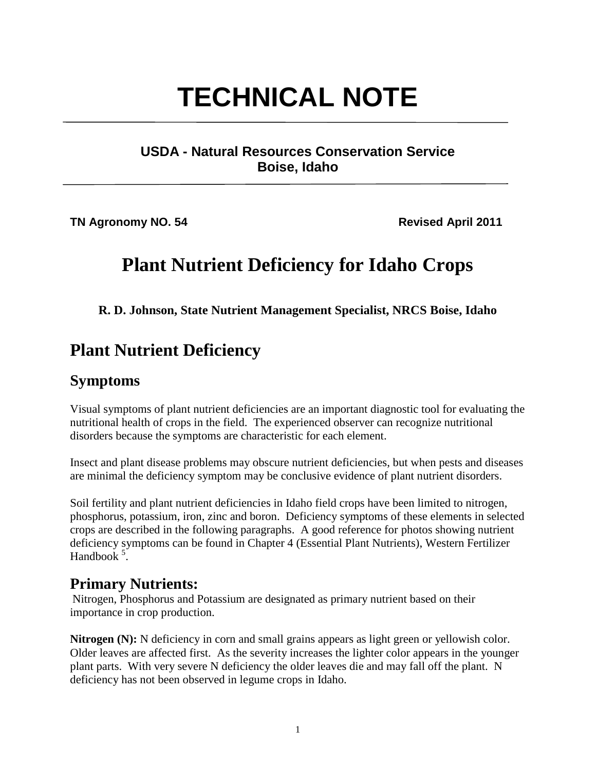# **TECHNICAL NOTE**

#### **USDA - Natural Resources Conservation Service Boise, Idaho**

**TN Agronomy NO. 54** Revised April 2011

# **Plant Nutrient Deficiency for Idaho Crops**

**R. D. Johnson, State Nutrient Management Specialist, NRCS Boise, Idaho**

## **Plant Nutrient Deficiency**

#### **Symptoms**

Visual symptoms of plant nutrient deficiencies are an important diagnostic tool for evaluating the nutritional health of crops in the field. The experienced observer can recognize nutritional disorders because the symptoms are characteristic for each element.

Insect and plant disease problems may obscure nutrient deficiencies, but when pests and diseases are minimal the deficiency symptom may be conclusive evidence of plant nutrient disorders.

Soil fertility and plant nutrient deficiencies in Idaho field crops have been limited to nitrogen, phosphorus, potassium, iron, zinc and boron. Deficiency symptoms of these elements in selected crops are described in the following paragraphs. A good reference for photos showing nutrient deficiency symptoms can be found in Chapter 4 (Essential Plant Nutrients), Western Fertilizer Handbook  $5$ .

#### **Primary Nutrients:**

Nitrogen, Phosphorus and Potassium are designated as primary nutrient based on their importance in crop production.

**Nitrogen (N):** N deficiency in corn and small grains appears as light green or yellowish color. Older leaves are affected first. As the severity increases the lighter color appears in the younger plant parts. With very severe N deficiency the older leaves die and may fall off the plant. N deficiency has not been observed in legume crops in Idaho.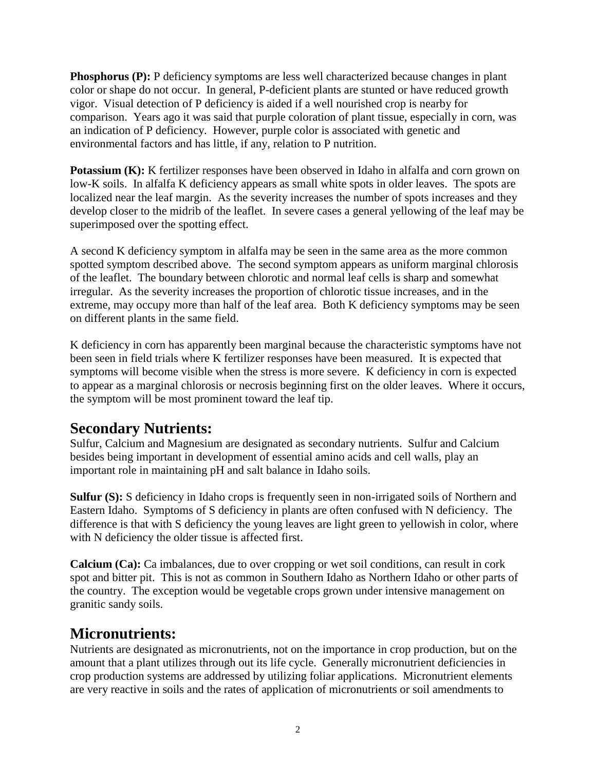**Phosphorus (P):** P deficiency symptoms are less well characterized because changes in plant color or shape do not occur. In general, P-deficient plants are stunted or have reduced growth vigor. Visual detection of P deficiency is aided if a well nourished crop is nearby for comparison. Years ago it was said that purple coloration of plant tissue, especially in corn, was an indication of P deficiency. However, purple color is associated with genetic and environmental factors and has little, if any, relation to P nutrition.

**Potassium (K):** K fertilizer responses have been observed in Idaho in alfalfa and corn grown on low-K soils. In alfalfa K deficiency appears as small white spots in older leaves. The spots are localized near the leaf margin. As the severity increases the number of spots increases and they develop closer to the midrib of the leaflet. In severe cases a general yellowing of the leaf may be superimposed over the spotting effect.

A second K deficiency symptom in alfalfa may be seen in the same area as the more common spotted symptom described above. The second symptom appears as uniform marginal chlorosis of the leaflet. The boundary between chlorotic and normal leaf cells is sharp and somewhat irregular. As the severity increases the proportion of chlorotic tissue increases, and in the extreme, may occupy more than half of the leaf area. Both K deficiency symptoms may be seen on different plants in the same field.

K deficiency in corn has apparently been marginal because the characteristic symptoms have not been seen in field trials where K fertilizer responses have been measured. It is expected that symptoms will become visible when the stress is more severe. K deficiency in corn is expected to appear as a marginal chlorosis or necrosis beginning first on the older leaves. Where it occurs, the symptom will be most prominent toward the leaf tip.

#### **Secondary Nutrients:**

Sulfur, Calcium and Magnesium are designated as secondary nutrients. Sulfur and Calcium besides being important in development of essential amino acids and cell walls, play an important role in maintaining pH and salt balance in Idaho soils.

**Sulfur (S):** S deficiency in Idaho crops is frequently seen in non-irrigated soils of Northern and Eastern Idaho. Symptoms of S deficiency in plants are often confused with N deficiency. The difference is that with S deficiency the young leaves are light green to yellowish in color, where with N deficiency the older tissue is affected first.

**Calcium (Ca):** Ca imbalances, due to over cropping or wet soil conditions, can result in cork spot and bitter pit. This is not as common in Southern Idaho as Northern Idaho or other parts of the country. The exception would be vegetable crops grown under intensive management on granitic sandy soils.

#### **Micronutrients:**

Nutrients are designated as micronutrients, not on the importance in crop production, but on the amount that a plant utilizes through out its life cycle. Generally micronutrient deficiencies in crop production systems are addressed by utilizing foliar applications. Micronutrient elements are very reactive in soils and the rates of application of micronutrients or soil amendments to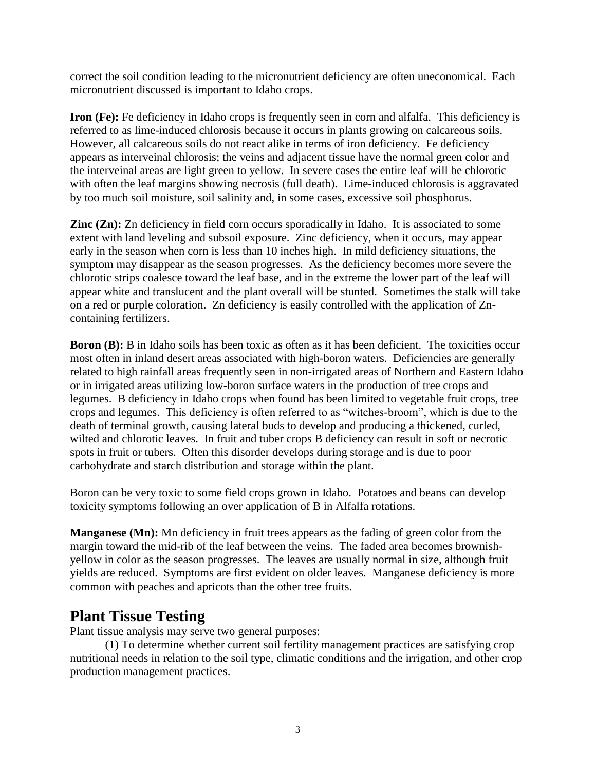correct the soil condition leading to the micronutrient deficiency are often uneconomical. Each micronutrient discussed is important to Idaho crops.

**Iron (Fe):** Fe deficiency in Idaho crops is frequently seen in corn and alfalfa. This deficiency is referred to as lime-induced chlorosis because it occurs in plants growing on calcareous soils. However, all calcareous soils do not react alike in terms of iron deficiency. Fe deficiency appears as interveinal chlorosis; the veins and adjacent tissue have the normal green color and the interveinal areas are light green to yellow. In severe cases the entire leaf will be chlorotic with often the leaf margins showing necrosis (full death). Lime-induced chlorosis is aggravated by too much soil moisture, soil salinity and, in some cases, excessive soil phosphorus.

**Zinc (Zn):** Zn deficiency in field corn occurs sporadically in Idaho. It is associated to some extent with land leveling and subsoil exposure. Zinc deficiency, when it occurs, may appear early in the season when corn is less than 10 inches high. In mild deficiency situations, the symptom may disappear as the season progresses. As the deficiency becomes more severe the chlorotic strips coalesce toward the leaf base, and in the extreme the lower part of the leaf will appear white and translucent and the plant overall will be stunted. Sometimes the stalk will take on a red or purple coloration. Zn deficiency is easily controlled with the application of Zncontaining fertilizers.

**Boron (B):** B in Idaho soils has been toxic as often as it has been deficient. The toxicities occur most often in inland desert areas associated with high-boron waters. Deficiencies are generally related to high rainfall areas frequently seen in non-irrigated areas of Northern and Eastern Idaho or in irrigated areas utilizing low-boron surface waters in the production of tree crops and legumes. B deficiency in Idaho crops when found has been limited to vegetable fruit crops, tree crops and legumes. This deficiency is often referred to as "witches-broom", which is due to the death of terminal growth, causing lateral buds to develop and producing a thickened, curled, wilted and chlorotic leaves. In fruit and tuber crops B deficiency can result in soft or necrotic spots in fruit or tubers. Often this disorder develops during storage and is due to poor carbohydrate and starch distribution and storage within the plant.

Boron can be very toxic to some field crops grown in Idaho. Potatoes and beans can develop toxicity symptoms following an over application of B in Alfalfa rotations.

**Manganese (Mn):** Mn deficiency in fruit trees appears as the fading of green color from the margin toward the mid-rib of the leaf between the veins. The faded area becomes brownishyellow in color as the season progresses. The leaves are usually normal in size, although fruit yields are reduced. Symptoms are first evident on older leaves. Manganese deficiency is more common with peaches and apricots than the other tree fruits.

#### **Plant Tissue Testing**

Plant tissue analysis may serve two general purposes:

(1) To determine whether current soil fertility management practices are satisfying crop nutritional needs in relation to the soil type, climatic conditions and the irrigation, and other crop production management practices.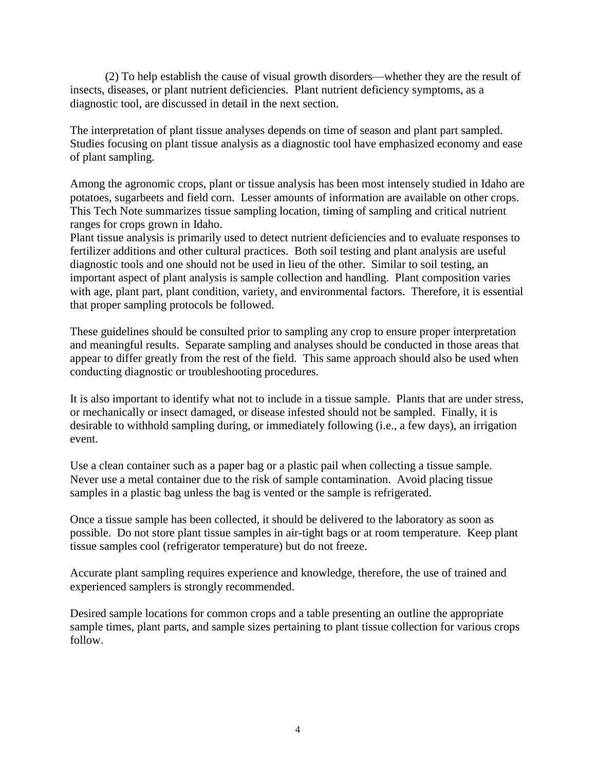(2) To help establish the cause of visual growth disorders—whether they are the result of insects, diseases, or plant nutrient deficiencies. Plant nutrient deficiency symptoms, as a diagnostic tool, are discussed in detail in the next section.

The interpretation of plant tissue analyses depends on time of season and plant part sampled. Studies focusing on plant tissue analysis as a diagnostic tool have emphasized economy and ease of plant sampling.

Among the agronomic crops, plant or tissue analysis has been most intensely studied in Idaho are potatoes, sugarbeets and field corn. Lesser amounts of information are available on other crops. This Tech Note summarizes tissue sampling location, timing of sampling and critical nutrient ranges for crops grown in Idaho.

Plant tissue analysis is primarily used to detect nutrient deficiencies and to evaluate responses to fertilizer additions and other cultural practices. Both soil testing and plant analysis are useful diagnostic tools and one should not be used in lieu of the other. Similar to soil testing, an important aspect of plant analysis is sample collection and handling. Plant composition varies with age, plant part, plant condition, variety, and environmental factors. Therefore, it is essential that proper sampling protocols be followed.

These guidelines should be consulted prior to sampling any crop to ensure proper interpretation and meaningful results. Separate sampling and analyses should be conducted in those areas that appear to differ greatly from the rest of the field. This same approach should also be used when conducting diagnostic or troubleshooting procedures.

It is also important to identify what not to include in a tissue sample. Plants that are under stress, or mechanically or insect damaged, or disease infested should not be sampled. Finally, it is desirable to withhold sampling during, or immediately following (i.e., a few days), an irrigation event.

Use a clean container such as a paper bag or a plastic pail when collecting a tissue sample. Never use a metal container due to the risk of sample contamination. Avoid placing tissue samples in a plastic bag unless the bag is vented or the sample is refrigerated.

Once a tissue sample has been collected, it should be delivered to the laboratory as soon as possible. Do not store plant tissue samples in air-tight bags or at room temperature. Keep plant tissue samples cool (refrigerator temperature) but do not freeze.

Accurate plant sampling requires experience and knowledge, therefore, the use of trained and experienced samplers is strongly recommended.

Desired sample locations for common crops and a table presenting an outline the appropriate sample times, plant parts, and sample sizes pertaining to plant tissue collection for various crops follow.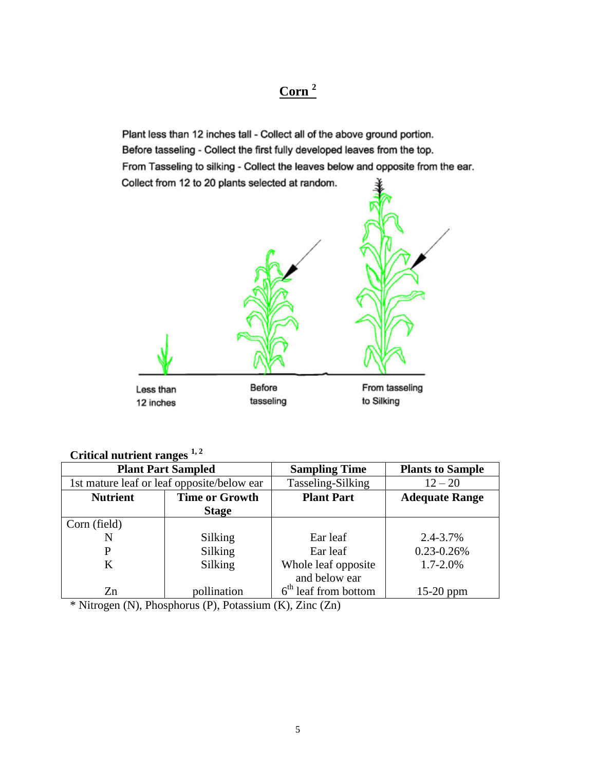#### **Corn <sup>2</sup>**

Plant less than 12 inches tall - Collect all of the above ground portion. Before tasseling - Collect the first fully developed leaves from the top. From Tasseling to silking - Collect the leaves below and opposite from the ear. Collect from 12 to 20 plants selected at random.



#### **Critical nutrient ranges 1, 2**

| <b>Plant Part Sampled</b>                  |                       | <b>Sampling Time</b>   | <b>Plants to Sample</b> |
|--------------------------------------------|-----------------------|------------------------|-------------------------|
| 1st mature leaf or leaf opposite/below ear |                       | Tasseling-Silking      | $12 - 20$               |
| <b>Nutrient</b>                            | <b>Time or Growth</b> | <b>Plant Part</b>      | <b>Adequate Range</b>   |
|                                            | <b>Stage</b>          |                        |                         |
| Corn (field)                               |                       |                        |                         |
| N                                          | Silking               | Ear leaf               | 2.4-3.7%                |
| P                                          | Silking               | Ear leaf               | $0.23 - 0.26%$          |
| K                                          | Silking               | Whole leaf opposite    | $1.7 - 2.0\%$           |
|                                            |                       | and below ear          |                         |
| Zn                                         | pollination           | $6th$ leaf from bottom | $15-20$ ppm             |

\* Nitrogen (N), Phosphorus (P), Potassium (K), Zinc (Zn)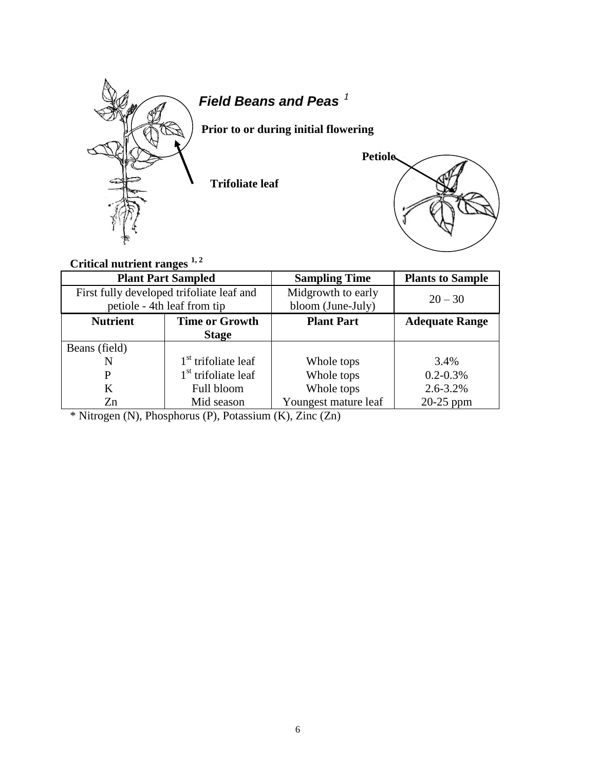

## *Field Beans and Peas <sup>1</sup>*

 **Prior to or during initial flowering**

**Trifoliate leaf**



## **Critical nutrient ranges 1, <sup>2</sup>**

| <b>Plant Part Sampled</b>                 |                                 | <b>Sampling Time</b> | <b>Plants to Sample</b> |  |
|-------------------------------------------|---------------------------------|----------------------|-------------------------|--|
| First fully developed trifoliate leaf and |                                 | Midgrowth to early   | $20 - 30$               |  |
|                                           | petiole - 4th leaf from tip     | bloom (June-July)    |                         |  |
| <b>Nutrient</b>                           | <b>Time or Growth</b>           | <b>Plant Part</b>    | <b>Adequate Range</b>   |  |
|                                           | <b>Stage</b>                    |                      |                         |  |
| Beans (field)                             |                                 |                      |                         |  |
| N                                         | $1st$ trifoliate leaf           | Whole tops           | 3.4%                    |  |
| P                                         | 1 <sup>st</sup> trifoliate leaf | Whole tops           | $0.2 - 0.3\%$           |  |
| K                                         | Full bloom                      | Whole tops           | $2.6 - 3.2\%$           |  |
| Zn                                        | Mid season                      | Youngest mature leaf | $20-25$ ppm             |  |

\* Nitrogen (N), Phosphorus (P), Potassium (K), Zinc (Zn)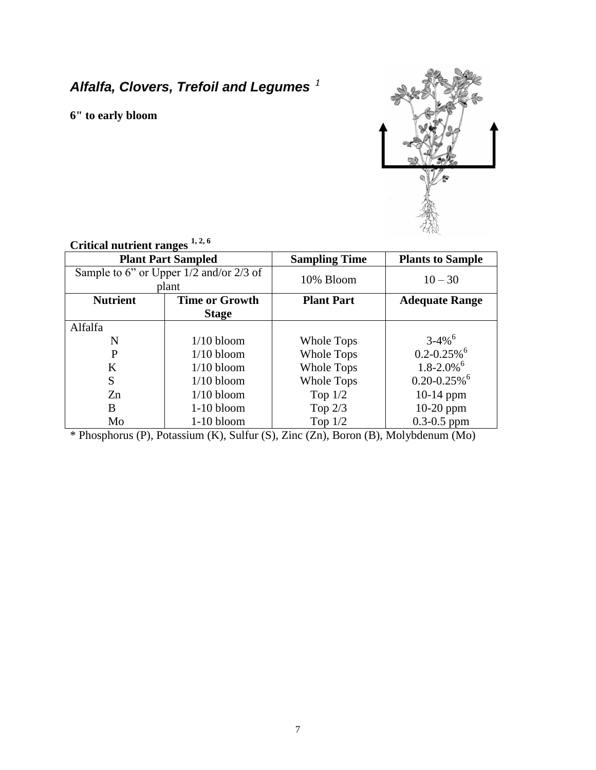## *Alfalfa, Clovers, Trefoil and Legumes <sup>1</sup>*

**6" to early bloom**



| UTHUAI HUUTUH TANGUS                        |                       |                      |                              |  |  |  |  |
|---------------------------------------------|-----------------------|----------------------|------------------------------|--|--|--|--|
| <b>Plant Part Sampled</b>                   |                       | <b>Sampling Time</b> | <b>Plants to Sample</b>      |  |  |  |  |
| Sample to 6" or Upper $1/2$ and/or $2/3$ of |                       | 10% Bloom            | $10 - 30$                    |  |  |  |  |
|                                             | plant                 |                      |                              |  |  |  |  |
| <b>Nutrient</b>                             | <b>Time or Growth</b> | <b>Plant Part</b>    | <b>Adequate Range</b>        |  |  |  |  |
|                                             | <b>Stage</b>          |                      |                              |  |  |  |  |
| Alfalfa                                     |                       |                      |                              |  |  |  |  |
| N                                           | $1/10$ bloom          | Whole Tops           | $3 - 4\%$ <sup>6</sup>       |  |  |  |  |
| P                                           | $1/10$ bloom          | Whole Tops           | $0.2 - 0.25\%$ <sup>6</sup>  |  |  |  |  |
| K                                           | $1/10$ bloom          | <b>Whole Tops</b>    | $1.8 - 2.0\%$ <sup>6</sup>   |  |  |  |  |
| S                                           | $1/10$ bloom          | <b>Whole Tops</b>    | $0.20 - 0.25\%$ <sup>6</sup> |  |  |  |  |
| Zn                                          | $1/10$ bloom          | Top $1/2$            | $10-14$ ppm                  |  |  |  |  |
| B                                           | $1-10$ bloom          | Top $2/3$            | $10-20$ ppm                  |  |  |  |  |
| Mo                                          | $1-10$ bloom          | Top $1/2$            | $0.3 - 0.5$ ppm              |  |  |  |  |

#### **Critical nutrient ranges 1, 2, 6**

\* Phosphorus (P), Potassium (K), Sulfur (S), Zinc (Zn), Boron (B), Molybdenum (Mo)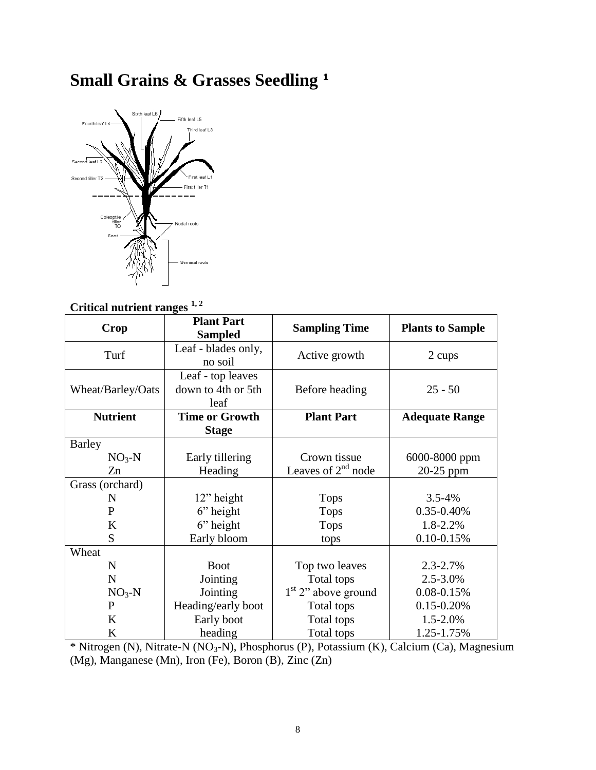# **Small Grains & Grasses Seedling <sup>1</sup>**



#### **Critical nutrient ranges 1, <sup>2</sup>**

| <b>Crop</b>       | <b>Plant Part</b><br><b>Sampled</b>             | <b>Sampling Time</b>  | <b>Plants to Sample</b> |  |
|-------------------|-------------------------------------------------|-----------------------|-------------------------|--|
| Turf              | Leaf - blades only,<br>no soil                  | Active growth         | 2 cups                  |  |
| Wheat/Barley/Oats | Leaf - top leaves<br>down to 4th or 5th<br>leaf | Before heading        | $25 - 50$               |  |
| <b>Nutrient</b>   | <b>Time or Growth</b>                           | <b>Plant Part</b>     | <b>Adequate Range</b>   |  |
|                   | <b>Stage</b>                                    |                       |                         |  |
| Barley            |                                                 |                       |                         |  |
| $NO3-N$           | Early tillering                                 | Crown tissue          | 6000-8000 ppm           |  |
| Zn                | Heading                                         | Leaves of $2nd$ node  | $20-25$ ppm             |  |
| Grass (orchard)   |                                                 |                       |                         |  |
| N                 | $12$ " height                                   | <b>Tops</b>           | $3.5 - 4\%$             |  |
| $\mathbf{P}$      | $6$ " height                                    | <b>Tops</b>           | 0.35-0.40%              |  |
| $\bf K$           | $6$ " height                                    | <b>Tops</b>           | 1.8-2.2%                |  |
| S                 | Early bloom                                     | tops                  | $0.10 - 0.15%$          |  |
| Wheat             |                                                 |                       |                         |  |
| $\mathbf N$       | <b>Boot</b>                                     | Top two leaves        | $2.3 - 2.7%$            |  |
| $\mathbf N$       | Jointing                                        | Total tops            | 2.5-3.0%                |  |
| $NO3-N$           | Jointing                                        | $1st$ 2" above ground | 0.08-0.15%              |  |
| P                 | Heading/early boot                              | Total tops            | $0.15 - 0.20\%$         |  |
| K                 | Early boot                                      | Total tops            | 1.5-2.0%                |  |
| K                 | heading                                         | Total tops            | 1.25-1.75%              |  |

\* Nitrogen (N), Nitrate-N (NO3-N), Phosphorus (P), Potassium (K), Calcium (Ca), Magnesium (Mg), Manganese (Mn), Iron (Fe), Boron (B), Zinc (Zn)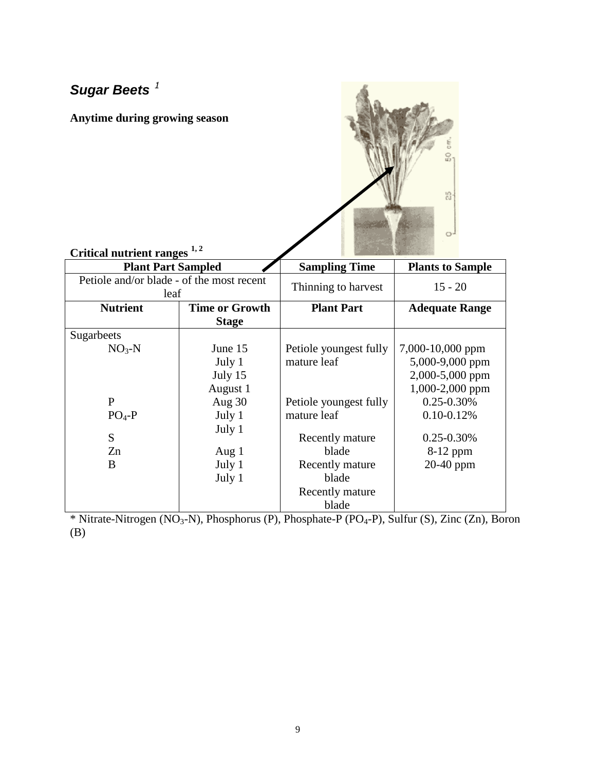## *Sugar Beets <sup>1</sup>*

**Anytime during growing season**



## **Critical nutrient ranges 1, <sup>2</sup>**

| <b>Plant Part Sampled</b>                         |                       | <b>Sampling Time</b>   | <b>Plants to Sample</b> |
|---------------------------------------------------|-----------------------|------------------------|-------------------------|
| Petiole and/or blade - of the most recent<br>leaf |                       | Thinning to harvest    | $15 - 20$               |
| <b>Nutrient</b>                                   | <b>Time or Growth</b> | <b>Plant Part</b>      | <b>Adequate Range</b>   |
|                                                   | <b>Stage</b>          |                        |                         |
| Sugarbeets                                        |                       |                        |                         |
| $NO3-N$                                           | June 15               | Petiole youngest fully | 7,000-10,000 ppm        |
|                                                   | July 1                | mature leaf            | 5,000-9,000 ppm         |
|                                                   | July 15               |                        | 2,000-5,000 ppm         |
|                                                   | August 1              |                        | 1,000-2,000 ppm         |
| $\mathbf{P}$                                      | Aug 30                | Petiole youngest fully | $0.25 - 0.30\%$         |
| $PO4-P$                                           | July 1                | mature leaf            | $0.10 - 0.12\%$         |
| S                                                 | July 1                | Recently mature        | $0.25 - 0.30\%$         |
| Zn                                                | Aug $1$               | blade                  | 8-12 ppm                |
| B                                                 | July 1                | Recently mature        | $20-40$ ppm             |
|                                                   | July 1                | blade                  |                         |
|                                                   |                       | Recently mature        |                         |
|                                                   |                       | blade                  |                         |

\* Nitrate-Nitrogen (NO<sub>3</sub>-N), Phosphorus (P), Phosphate-P (PO<sub>4</sub>-P), Sulfur (S), Zinc (Zn), Boron (B)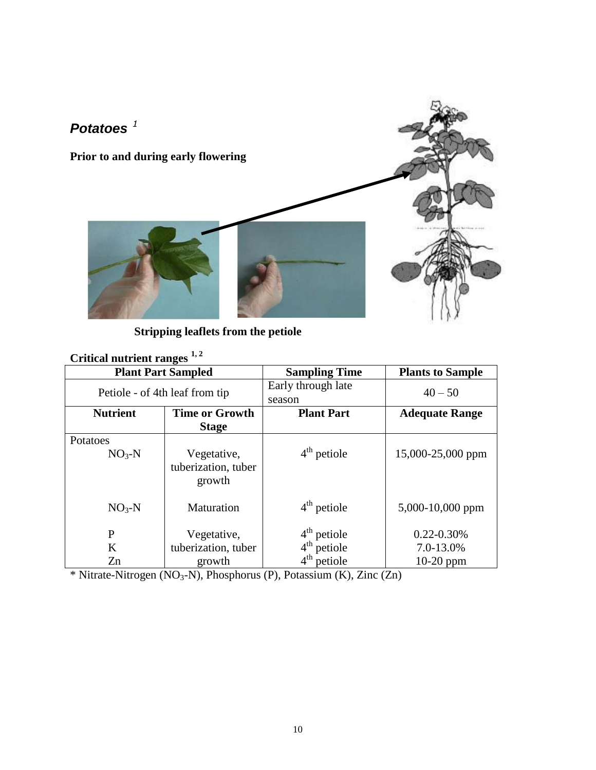

 **Stripping leaflets from the petiole**

## **Critical nutrient ranges 1, <sup>2</sup>**

| <b>Plant Part Sampled</b>      |                                                            | <b>Sampling Time</b>         | <b>Plants to Sample</b> |
|--------------------------------|------------------------------------------------------------|------------------------------|-------------------------|
| Petiole - of 4th leaf from tip |                                                            | Early through late<br>season | $40 - 50$               |
| <b>Nutrient</b>                | <b>Time or Growth</b><br><b>Plant Part</b><br><b>Stage</b> |                              | <b>Adequate Range</b>   |
| Potatoes                       |                                                            |                              |                         |
| $NO3-N$                        | Vegetative,<br>tuberization, tuber<br>growth               | $4th$ petiole                | 15,000-25,000 ppm       |
| $NO3-N$                        | Maturation                                                 | $4th$ petiole                | 5,000-10,000 ppm        |
| P                              | Vegetative,                                                | $4th$ petiole                | $0.22 - 0.30\%$         |
| K                              | tuberization, tuber                                        | $4th$ petiole                | 7.0-13.0%               |
| Zn                             | growth                                                     | $4th$ petiole                | $10-20$ ppm             |

\* Nitrate-Nitrogen (NO3-N), Phosphorus (P), Potassium (K), Zinc (Zn)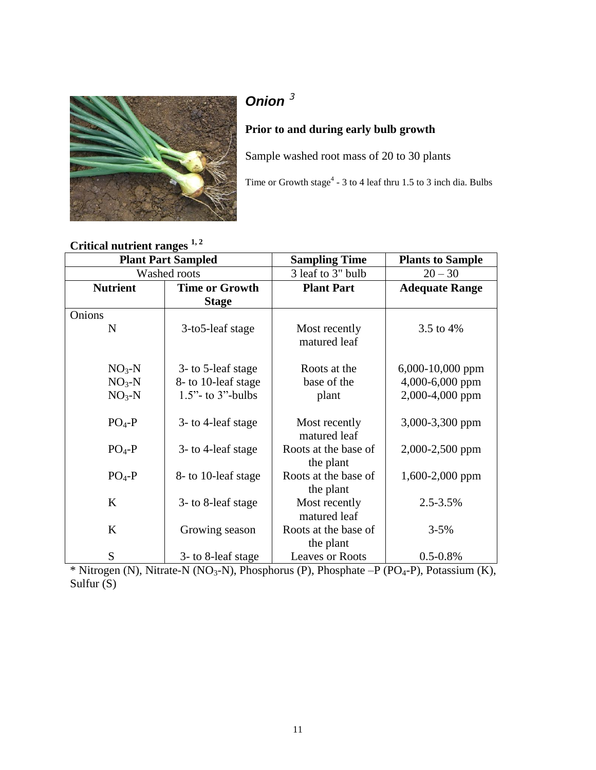

## *Onion <sup>3</sup>*

#### **Prior to and during early bulb growth**

Sample washed root mass of 20 to 30 plants

Time or Growth stage<sup>4</sup> - 3 to 4 leaf thru 1.5 to 3 inch dia. Bulbs

## **Critical nutrient ranges 1, <sup>2</sup>**

|                 | <b>Plant Part Sampled</b> | <b>Sampling Time</b>              | <b>Plants to Sample</b> |
|-----------------|---------------------------|-----------------------------------|-------------------------|
|                 | Washed roots              | 3 leaf to 3" bulb                 | $20 - 30$               |
| <b>Nutrient</b> | <b>Time or Growth</b>     | <b>Plant Part</b>                 | <b>Adequate Range</b>   |
|                 | <b>Stage</b>              |                                   |                         |
| Onions          |                           |                                   |                         |
| N               | 3-to5-leaf stage          | Most recently<br>matured leaf     | 3.5 to 4%               |
| $NO3-N$         | 3- to 5-leaf stage        | Roots at the                      | 6,000-10,000 ppm        |
| $NO3-N$         | 8- to 10-leaf stage       | base of the                       | 4,000-6,000 ppm         |
| $NO3-N$         | $1.5$ " - to 3"-bulbs     | plant                             | 2,000-4,000 ppm         |
|                 |                           |                                   |                         |
| $PO4-P$         | 3- to 4-leaf stage        | Most recently<br>matured leaf     | 3,000-3,300 ppm         |
| $PO4-P$         | 3- to 4-leaf stage        | Roots at the base of              | 2,000-2,500 ppm         |
|                 |                           | the plant                         |                         |
| $PO4-P$         | 8- to 10-leaf stage       | Roots at the base of<br>the plant | 1,600-2,000 ppm         |
| K               | 3- to 8-leaf stage        | Most recently<br>matured leaf     | 2.5-3.5%                |
| K               | Growing season            | Roots at the base of<br>the plant | $3 - 5%$                |
| S               | 3- to 8-leaf stage        | <b>Leaves or Roots</b>            | $0.5 - 0.8\%$           |

 $*$  Nitrogen (N), Nitrate-N (NO<sub>3</sub>-N), Phosphorus (P), Phosphate –P (PO<sub>4</sub>-P), Potassium (K), Sulfur (S)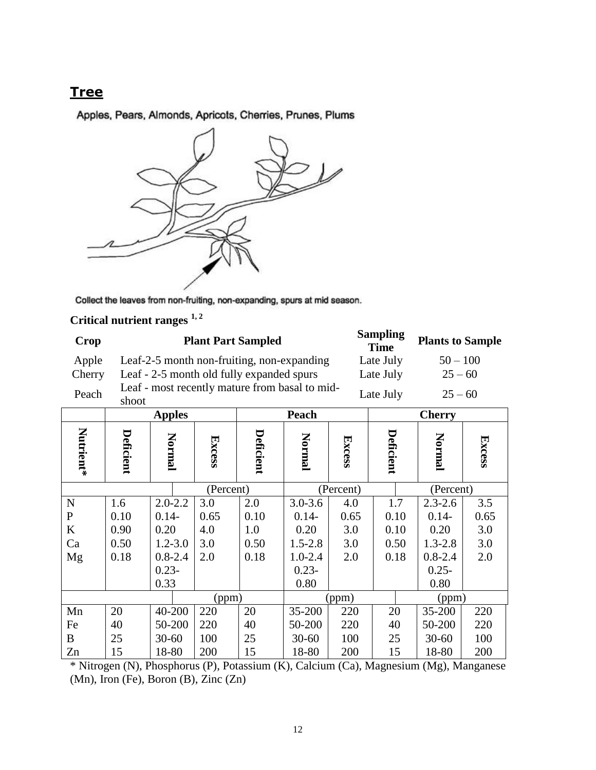#### **Tree**

Apples, Pears, Almonds, Apricots, Cherries, Prunes, Plums



Collect the leaves from non-fruiting, non-expanding, spurs at mid season.

## **Critical nutrient ranges 1, <sup>2</sup>**

| Crop   | <b>Plant Part Sampled</b>                               | <b>Sampling</b><br><b>Time</b> | <b>Plants to Sample</b> |
|--------|---------------------------------------------------------|--------------------------------|-------------------------|
| Apple  | Leaf-2-5 month non-fruiting, non-expanding              | Late July                      | $50 - 100$              |
| Cherry | Leaf - 2-5 month old fully expanded spurs               | Late July                      | $25 - 60$               |
| Peach  | Leaf - most recently mature from basal to mid-<br>shoot | Late July                      | $25 - 60$               |

|             |           | <b>Apples</b> |           |           | Peach       |               |           | <b>Cherry</b> |        |
|-------------|-----------|---------------|-----------|-----------|-------------|---------------|-----------|---------------|--------|
| Nutrient*   | Deficient | Normal        | Excess    | Deficient | Normal      | <b>Excess</b> | Deficient | Normal        | Excess |
|             |           |               | (Percent) |           |             | (Percent)     |           | (Percent)     |        |
| N           | 1.6       | $2.0 - 2.2$   | 3.0       | 2.0       | $3.0 - 3.6$ | 4.0           | 1.7       | $2.3 - 2.6$   | 3.5    |
| $\mathbf P$ | 0.10      | $0.14-$       | 0.65      | 0.10      | $0.14-$     | 0.65          | 0.10      | $0.14-$       | 0.65   |
| K           | 0.90      | 0.20          | 4.0       | 1.0       | 0.20        | 3.0           | 0.10      | 0.20          | 3.0    |
| Ca          | 0.50      | $1.2 - 3.0$   | 3.0       | 0.50      | $1.5 - 2.8$ | 3.0           | 0.50      | $1.3 - 2.8$   | 3.0    |
| Mg          | 0.18      | $0.8 - 2.4$   | 2.0       | 0.18      | $1.0 - 2.4$ | 2.0           | 0.18      | $0.8 - 2.4$   | 2.0    |
|             |           | $0.23 -$      |           |           | $0.23 -$    |               |           | $0.25 -$      |        |
|             |           | 0.33          |           |           | 0.80        |               |           | 0.80          |        |
|             |           |               | (ppm)     |           |             | (ppm)         |           | (ppm)         |        |
| Mn          | 20        | 40-200        | 220       | 20        | 35-200      | 220           | 20        | 35-200        | 220    |
| Fe          | 40        | 50-200        | 220       | 40        | 50-200      | 220           | 40        | 50-200        | 220    |
| B           | 25        | $30 - 60$     | 100       | 25        | $30 - 60$   | 100           | 25        | $30 - 60$     | 100    |
| Zn          | 15        | 18-80         | 200       | 15        | 18-80       | 200           | 15        | 18-80         | 200    |

\* Nitrogen (N), Phosphorus (P), Potassium (K), Calcium (Ca), Magnesium (Mg), Manganese (Mn), Iron (Fe), Boron (B), Zinc (Zn)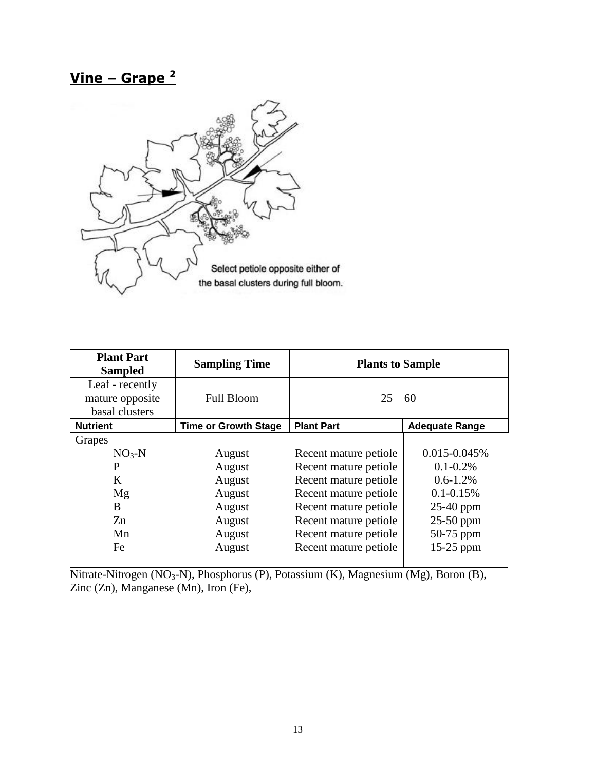## **Vine – Grape <sup>2</sup>**



| <b>Plant Part</b><br><b>Sampled</b>                  | <b>Sampling Time</b>        | <b>Plants to Sample</b> |                       |
|------------------------------------------------------|-----------------------------|-------------------------|-----------------------|
| Leaf - recently<br>mature opposite<br>basal clusters | <b>Full Bloom</b>           | $25 - 60$               |                       |
| <b>Nutrient</b>                                      | <b>Time or Growth Stage</b> | <b>Plant Part</b>       | <b>Adequate Range</b> |
| Grapes                                               |                             |                         |                       |
| $NO3-N$                                              | August                      | Recent mature petiole   | $0.015 - 0.045\%$     |
| P                                                    | August                      | Recent mature petiole   | $0.1 - 0.2\%$         |
| K                                                    | August                      | Recent mature petiole   | $0.6 - 1.2\%$         |
| Mg                                                   | August                      | Recent mature petiole   | $0.1 - 0.15\%$        |
| B                                                    | August                      | Recent mature petiole   | $25-40$ ppm           |
| Zn                                                   | August                      | Recent mature petiole   | $25-50$ ppm           |
| Mn                                                   | August                      | Recent mature petiole   | 50-75 ppm             |
| Fe                                                   | August                      | Recent mature petiole   | $15-25$ ppm           |

Nitrate-Nitrogen (NO<sub>3</sub>-N), Phosphorus (P), Potassium (K), Magnesium (Mg), Boron (B), Zinc (Zn), Manganese (Mn), Iron (Fe),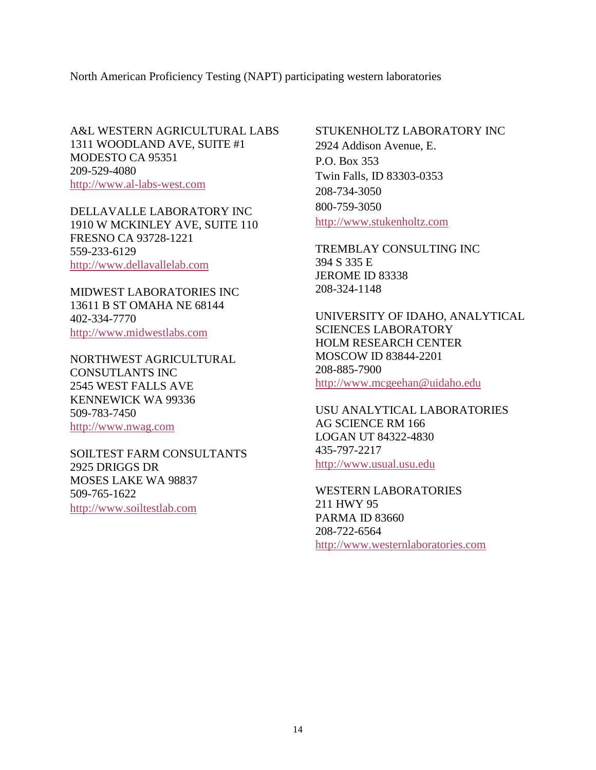North American Proficiency Testing (NAPT) participating western laboratories

A&L WESTERN AGRICULTURAL LABS 1311 WOODLAND AVE, SUITE #1 MODESTO CA 95351 209-529-4080 [http://www.al-labs-west.com](http://www.al-labs-west.com/)

DELLAVALLE LABORATORY INC 1910 W MCKINLEY AVE, SUITE 110 FRESNO CA 93728-1221 559-233-6129 [http://www.dellavallelab.com](http://www.dellavallelab.com/)

MIDWEST LABORATORIES INC 13611 B ST OMAHA NE 68144 402-334-7770 [http://www.midwestlabs.com](http://www.midwestlabs.com/)

NORTHWEST AGRICULTURAL CONSUTLANTS INC 2545 WEST FALLS AVE KENNEWICK WA 99336 509-783-7450 [http://www.nwag.com](http://www.nwag.com/)

SOILTEST FARM CONSULTANTS 2925 DRIGGS DR MOSES LAKE WA 98837 509-765-1622 [http://www.soiltestlab.com](http://www.soiltestlab.com/)

STUKENHOLTZ LABORATORY INC 2924 Addison Avenue, E. P.O. Box 353 Twin Falls, ID 83303-0353 208-734-3050 800-759-3050 [http://www.stukenholtz.com](http://www.stukenholtz.com/)

TREMBLAY CONSULTING INC 394 S 335 E JEROME ID 83338 208-324-1148

UNIVERSITY OF IDAHO, ANALYTICAL SCIENCES LABORATORY HOLM RESEARCH CENTER MOSCOW ID 83844-2201 208-885-7900 [http://www.mcgeehan@uidaho.edu](http://www.mcgeehan@uidaho.edu/)

USU ANALYTICAL LABORATORIES AG SCIENCE RM 166 LOGAN UT 84322-4830 435-797-2217 [http://www.usual.usu.edu](http://www.usual.usu.edu/)

WESTERN LABORATORIES 211 HWY 95 PARMA ID 83660 208-722-6564 [http://www.westernlaboratories.com](http://www.westernlaboratories.com/)